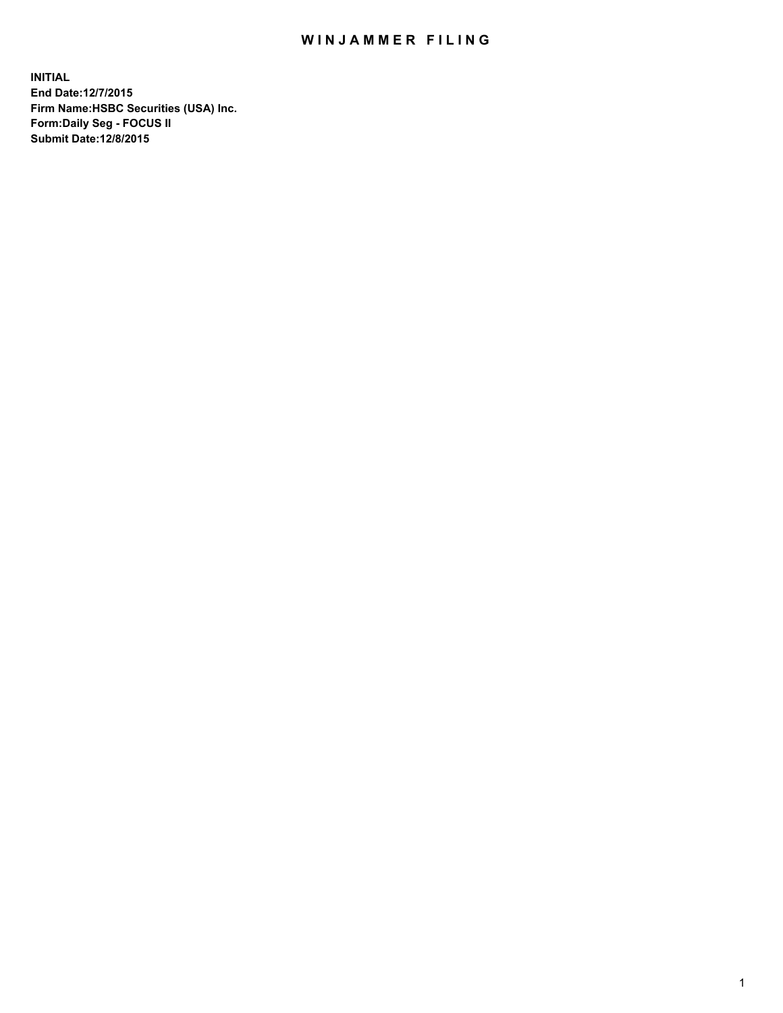## WIN JAMMER FILING

**INITIAL End Date:12/7/2015 Firm Name:HSBC Securities (USA) Inc. Form:Daily Seg - FOCUS II Submit Date:12/8/2015**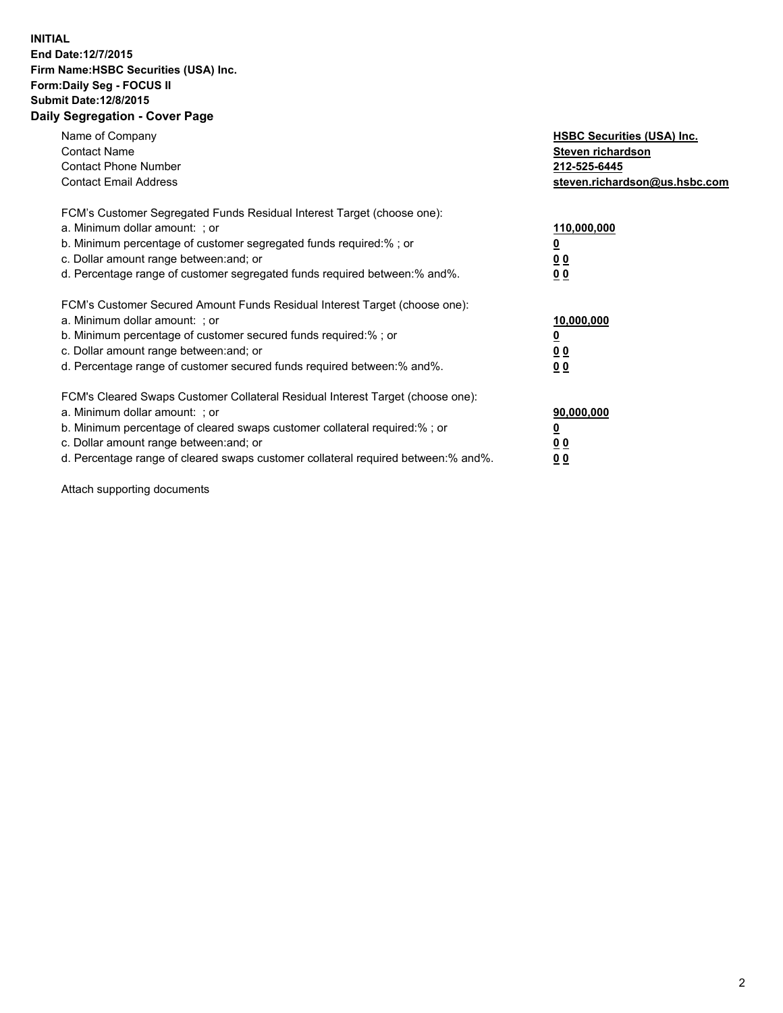## **INITIAL End Date:12/7/2015 Firm Name:HSBC Securities (USA) Inc. Form:Daily Seg - FOCUS II Submit Date:12/8/2015 Daily Segregation - Cover Page**

| Name of Company<br><b>Contact Name</b><br><b>Contact Phone Number</b><br><b>Contact Email Address</b>                                                                                                                                                                                                                         | <b>HSBC Securities (USA) Inc.</b><br>Steven richardson<br>212-525-6445<br>steven.richardson@us.hsbc.com |
|-------------------------------------------------------------------------------------------------------------------------------------------------------------------------------------------------------------------------------------------------------------------------------------------------------------------------------|---------------------------------------------------------------------------------------------------------|
| FCM's Customer Segregated Funds Residual Interest Target (choose one):<br>a. Minimum dollar amount: ; or<br>b. Minimum percentage of customer segregated funds required:%; or<br>c. Dollar amount range between: and; or<br>d. Percentage range of customer segregated funds required between: % and %.                       | 110,000,000<br><u>0</u><br>0 <sub>0</sub><br>0 <sub>0</sub>                                             |
| FCM's Customer Secured Amount Funds Residual Interest Target (choose one):<br>a. Minimum dollar amount: ; or<br>b. Minimum percentage of customer secured funds required:%; or<br>c. Dollar amount range between: and; or<br>d. Percentage range of customer secured funds required between: % and %.                         | 10,000,000<br>0 <sub>0</sub><br>0 <sub>0</sub>                                                          |
| FCM's Cleared Swaps Customer Collateral Residual Interest Target (choose one):<br>a. Minimum dollar amount: ; or<br>b. Minimum percentage of cleared swaps customer collateral required:%; or<br>c. Dollar amount range between: and; or<br>d. Percentage range of cleared swaps customer collateral required between:% and%. | 90,000,000<br><u>0</u><br>00<br><u>00</u>                                                               |

Attach supporting documents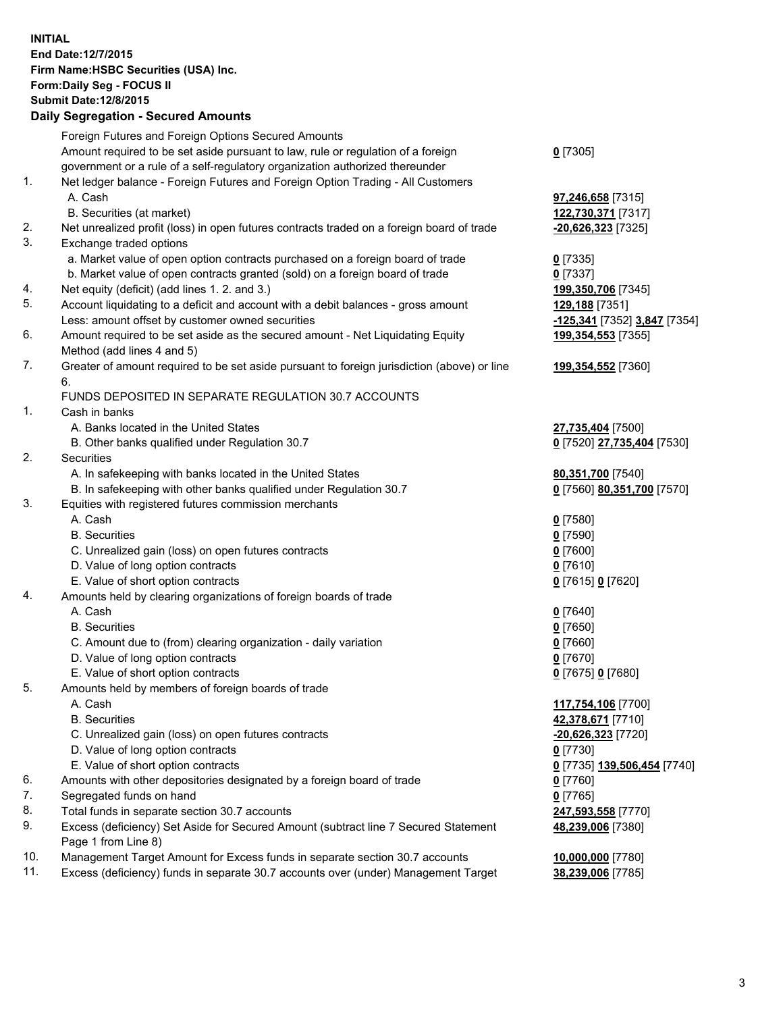**INITIAL End Date:12/7/2015 Firm Name:HSBC Securities (USA) Inc. Form:Daily Seg - FOCUS II Submit Date:12/8/2015 Daily Segregation - Secured Amounts**

Foreign Futures and Foreign Options Secured Amounts Amount required to be set aside pursuant to law, rule or regulation of a foreign government or a rule of a self-regulatory organization authorized thereunder **0** [7305] 1. Net ledger balance - Foreign Futures and Foreign Option Trading - All Customers A. Cash **97,246,658** [7315] B. Securities (at market) **122,730,371** [7317] 2. Net unrealized profit (loss) in open futures contracts traded on a foreign board of trade **-20,626,323** [7325] 3. Exchange traded options a. Market value of open option contracts purchased on a foreign board of trade **0** [7335] b. Market value of open contracts granted (sold) on a foreign board of trade **0** [7337] 4. Net equity (deficit) (add lines 1. 2. and 3.) **199,350,706** [7345] 5. Account liquidating to a deficit and account with a debit balances - gross amount **129,188** [7351] Less: amount offset by customer owned securities **-125,341** [7352] **3,847** [7354] 6. Amount required to be set aside as the secured amount - Net Liquidating Equity Method (add lines 4 and 5) **199,354,553** [7355] 7. Greater of amount required to be set aside pursuant to foreign jurisdiction (above) or line 6. **199,354,552** [7360] FUNDS DEPOSITED IN SEPARATE REGULATION 30.7 ACCOUNTS 1. Cash in banks A. Banks located in the United States **27,735,404** [7500] B. Other banks qualified under Regulation 30.7 **0** [7520] **27,735,404** [7530] 2. Securities A. In safekeeping with banks located in the United States **80,351,700** [7540] B. In safekeeping with other banks qualified under Regulation 30.7 **0** [7560] **80,351,700** [7570] 3. Equities with registered futures commission merchants A. Cash **0** [7580] B. Securities **0** [7590] C. Unrealized gain (loss) on open futures contracts **0** [7600] D. Value of long option contracts **0** [7610] E. Value of short option contracts **0** [7615] **0** [7620] 4. Amounts held by clearing organizations of foreign boards of trade A. Cash **0** [7640] B. Securities **0** [7650] C. Amount due to (from) clearing organization - daily variation **0** [7660] D. Value of long option contracts **0** [7670] E. Value of short option contracts **0** [7675] **0** [7680] 5. Amounts held by members of foreign boards of trade A. Cash **117,754,106** [7700] B. Securities **42,378,671** [7710] C. Unrealized gain (loss) on open futures contracts **-20,626,323** [7720] D. Value of long option contracts **0** [7730] E. Value of short option contracts **0** [7735] **139,506,454** [7740] 6. Amounts with other depositories designated by a foreign board of trade **0** [7760] 7. Segregated funds on hand **0** [7765] 8. Total funds in separate section 30.7 accounts **247,593,558** [7770] 9. Excess (deficiency) Set Aside for Secured Amount (subtract line 7 Secured Statement Page 1 from Line 8) **48,239,006** [7380] 10. Management Target Amount for Excess funds in separate section 30.7 accounts **10,000,000** [7780] 11. Excess (deficiency) funds in separate 30.7 accounts over (under) Management Target **38,239,006** [7785]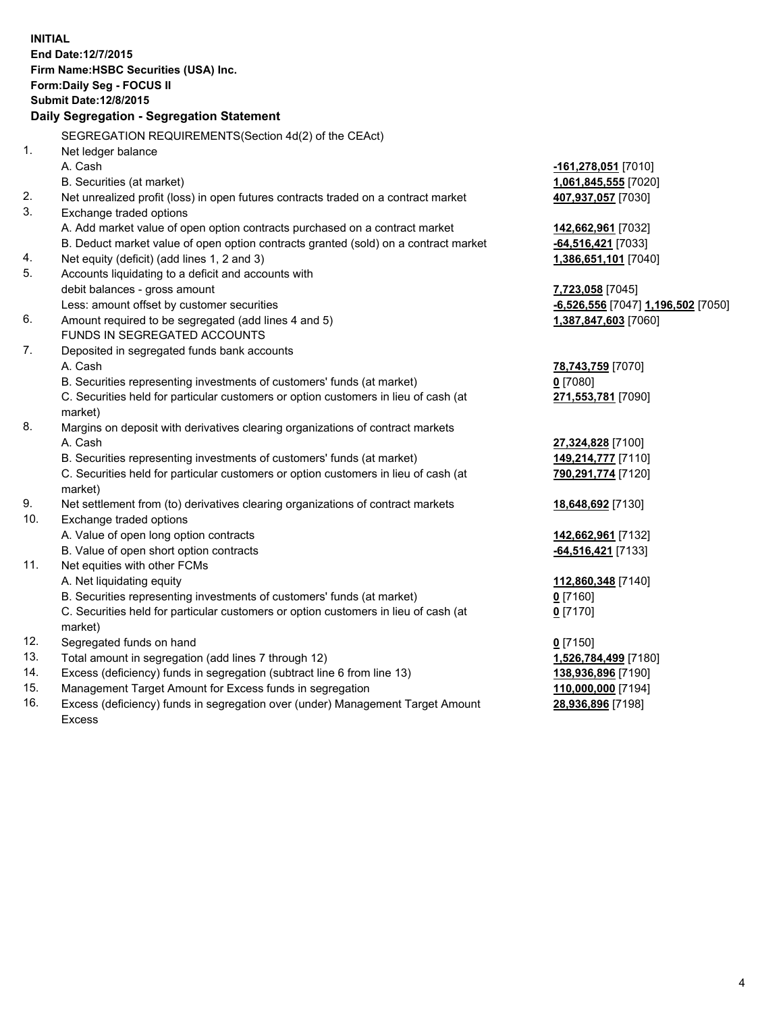| <b>INITIAL</b><br>End Date: 12/7/2015     |                                                                                     |                                    |  |  |  |
|-------------------------------------------|-------------------------------------------------------------------------------------|------------------------------------|--|--|--|
|                                           |                                                                                     |                                    |  |  |  |
| Firm Name: HSBC Securities (USA) Inc.     |                                                                                     |                                    |  |  |  |
| Form: Daily Seg - FOCUS II                |                                                                                     |                                    |  |  |  |
| <b>Submit Date: 12/8/2015</b>             |                                                                                     |                                    |  |  |  |
| Daily Segregation - Segregation Statement |                                                                                     |                                    |  |  |  |
|                                           | SEGREGATION REQUIREMENTS(Section 4d(2) of the CEAct)                                |                                    |  |  |  |
| 1.                                        | Net ledger balance                                                                  |                                    |  |  |  |
|                                           | A. Cash                                                                             | -161,278,051 [7010]                |  |  |  |
|                                           | B. Securities (at market)                                                           | 1,061,845,555 [7020]               |  |  |  |
| 2.                                        | Net unrealized profit (loss) in open futures contracts traded on a contract market  | 407,937,057 [7030]                 |  |  |  |
| 3.                                        | Exchange traded options                                                             |                                    |  |  |  |
|                                           | A. Add market value of open option contracts purchased on a contract market         | 142,662,961 [7032]                 |  |  |  |
|                                           | B. Deduct market value of open option contracts granted (sold) on a contract market | -64,516,421 [7033]                 |  |  |  |
| 4.                                        | Net equity (deficit) (add lines 1, 2 and 3)                                         | 1,386,651,101 [7040]               |  |  |  |
| 5.                                        | Accounts liquidating to a deficit and accounts with                                 |                                    |  |  |  |
|                                           | debit balances - gross amount                                                       | 7,723,058 [7045]                   |  |  |  |
|                                           | Less: amount offset by customer securities                                          | -6,526,556 [7047] 1,196,502 [7050] |  |  |  |
| 6.                                        | Amount required to be segregated (add lines 4 and 5)                                | 1,387,847,603 [7060]               |  |  |  |
|                                           | FUNDS IN SEGREGATED ACCOUNTS                                                        |                                    |  |  |  |
| 7.                                        | Deposited in segregated funds bank accounts                                         |                                    |  |  |  |
|                                           | A. Cash                                                                             | 78,743,759 [7070]                  |  |  |  |
|                                           | B. Securities representing investments of customers' funds (at market)              | $0$ [7080]                         |  |  |  |
|                                           | C. Securities held for particular customers or option customers in lieu of cash (at | 271,553,781 [7090]                 |  |  |  |
|                                           | market)                                                                             |                                    |  |  |  |
| 8.                                        | Margins on deposit with derivatives clearing organizations of contract markets      |                                    |  |  |  |
|                                           | A. Cash                                                                             | 27,324,828 [7100]                  |  |  |  |
|                                           | B. Securities representing investments of customers' funds (at market)              | 149,214,777 [7110]                 |  |  |  |
|                                           | C. Securities held for particular customers or option customers in lieu of cash (at | 790,291,774 [7120]                 |  |  |  |
|                                           | market)                                                                             |                                    |  |  |  |
| 9.                                        | Net settlement from (to) derivatives clearing organizations of contract markets     | 18,648,692 [7130]                  |  |  |  |
| 10.                                       | Exchange traded options                                                             |                                    |  |  |  |
|                                           | A. Value of open long option contracts                                              | 142,662,961 [7132]                 |  |  |  |
|                                           | B. Value of open short option contracts                                             | $-64,516,421$ [7133]               |  |  |  |
| 11.                                       | Net equities with other FCMs                                                        |                                    |  |  |  |
|                                           | A. Net liquidating equity                                                           | 112,860,348 [7140]                 |  |  |  |
|                                           | B. Securities representing investments of customers' funds (at market)              | 0 [7160]                           |  |  |  |
|                                           | C. Securities held for particular customers or option customers in lieu of cash (at | $0$ [7170]                         |  |  |  |
|                                           | market)                                                                             |                                    |  |  |  |
| 12.                                       | Segregated funds on hand                                                            | $0$ [7150]                         |  |  |  |
| 13.                                       | Total amount in segregation (add lines 7 through 12)                                | 1,526,784,499 [7180]               |  |  |  |
| 14.                                       | Excess (deficiency) funds in segregation (subtract line 6 from line 13)             | 138,936,896 [7190]                 |  |  |  |
| 15.                                       | Management Target Amount for Excess funds in segregation                            | 110,000,000 [7194]                 |  |  |  |
| 16.                                       | Excess (deficiency) funds in segregation over (under) Management Target Amount      | 28,936,896 [7198]                  |  |  |  |

Excess